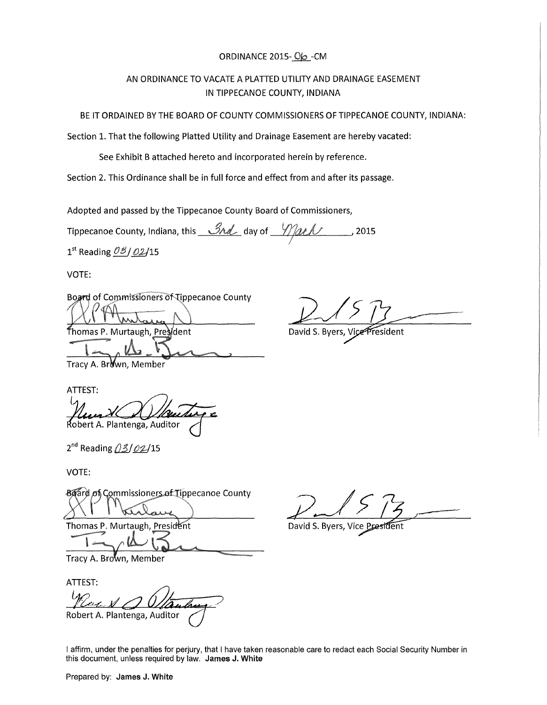## ORDINANCE 2015- $O$  $\sim$ -CM

# AN ORDINANCE TO VACATE A PLATIED UTILITY AND DRAINAGE EASEMENT IN TIPPECANOE COUNTY, INDIANA

BE IT ORDAINED BY THE BOARD OF COUNTY COMMISSIONERS OF TIPPECANOE COUNTY, INDIANA:

Section 1. That the following Platted Utility and Drainage Easement are hereby vacated:

See Exhibit B attached hereto and incorporated herein by reference.

Section 2. This Ordinance shall be in full force and effect from and after its passage.

Adopted and passed by the Tippecanoe County Board of Commissioners,

Tippecanoe County, Indiana, this 3rd day of  $\frac{1}{2015}$ 

 $1<sup>st</sup>$  Reading  $0<sup>g</sup>$  / 02/15

VOTE:

Board of Commissioners of Tippecanoe County

Thomas P. Murtaugh, Prestdent

David S. Byers, Vice President

Tracy A. Br∛wn, Member

ATTEST: |<br>برا Robert A. Plantenga, Auditor

 $2^{nd}$  Reading  $/3/02/15$ 

VOTE:

Board of Commissioners of Tippecanoe County

Thomas P. Murtaugh, President

Tracy A. Brown, Member

ATTEST: Robert A. Plantenga, Auditor

David S. Byers, Vice Presi

I affirm, under the penalties for perjury, that I have taken reasonable care to redact each Social Security Number in this document, unless required by law. James J. White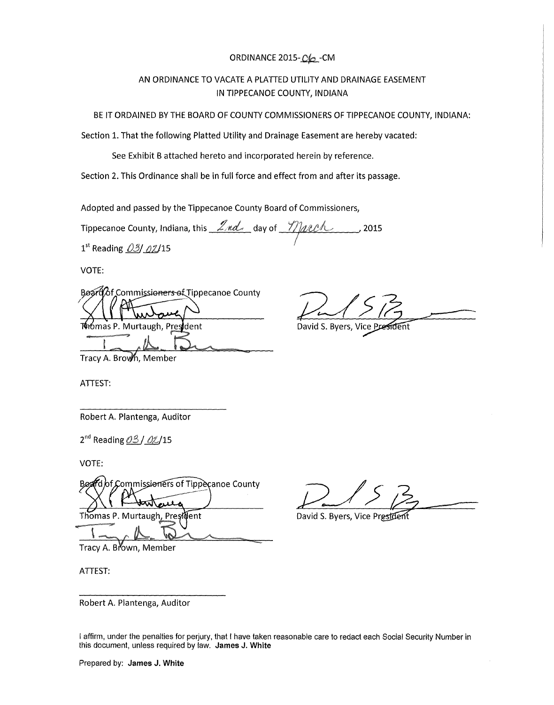## ORDINANCE 2015-CO-CM

# AN ORDINANCE TO VACATE A PLATIED UTILITY AND DRAINAGE EASEMENT IN TIPPECANOE COUNTY, INDIANA

BE IT ORDAINED BY THE BOARD OF COUNTY COMMISSIONERS OF TIPPECANOE COUNTY, INDIANA:

Section 1. That the following Platted Utility and Drainage Easement are hereby vacated:

See Exhibit B attached hereto and incorporated herein by reference.

Section 2. This Ordinance shall be in full force and effect from and after its passage.

Adopted and passed by the Tippecanoe County Board of Commissioners,

Tippecanoe County, Indiana, this *Lnd.* day of *Y)acch*  $, 2015$ 

 $1^{\text{st}}$  Reading  $03/02/15$ 

VOTE:

Board *of Commissioners* of Tippecanoe County

Thomas P. Murtaugh, President

David S. Byers, Vice Pra

Tracy A. Brown, Member

ATTEST:

Robert A. Plantenga, Auditor

 $2^{nd}$  Reading  $03/0 \ell/15$ 

VOTE:

fd of Commissioners of Tippecanoe County Rø Thomas P. Murtaugh , Presiolent

Tracy A. Brown, Member

ATTEST:

David S. Byers, Vice Pr

Robert A. Plantenga, Auditor

I affirm, under the penalties for perjury, that I have taken reasonable care to redact each Social Security Number in this document, unless required by law. **James J. White**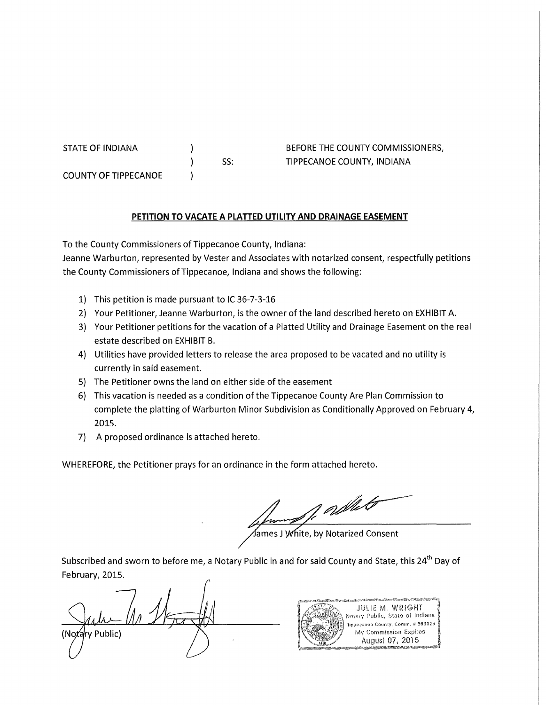STATE OF INDIANA

COUNTY OF TIPPECANOE

SS:

) 1  $\lambda$ 

BEFORE THE COUNTY COMMISSIONERS, TIPPECANOE COUNTY, INDIANA

## **PETITION TO VACATE A PLATTED UTILITY AND DRAINAGE EASEMENT**

To the County Commissioners of Tippecanoe County, Indiana:

Jeanne Warburton, represented by Vester and Associates with notarized consent, respectfully petitions the County Commissioners of Tippecanoe, Indiana and shows the following:

- 1) This petition is made pursuant to IC 36-7-3-16
- 2) Your Petitioner, Jeanne Warburton, is the owner of the land described hereto on EXHIBIT A.
- 3) Your Petitioner petitions for the vacation of a Platted Utility and Drainage Easement on the real estate described on EXHIBIT B.
- 4) Utilities have provided letters to release the area proposed to be vacated and no utility is currently in said easement.
- 5) The Petitioner owns the land on either side of the easement
- 6) This vacation is needed as a condition of the Tippecanoe County Are Plan Commission to complete the platting of Warburton Minor Subdivision as Conditionally Approved on February 4, 2015.
- 7) A proposed ordinance is attached hereto.

WHEREFORE, the Petitioner prays for an ordinance in the form attached hereto.

of adher

James J White, by Notarized Consent

Subscribed and sworn to before me, a Notary Public in and for said County and State, this 24<sup>th</sup> Day of February, 2015.

(Notarv Public)

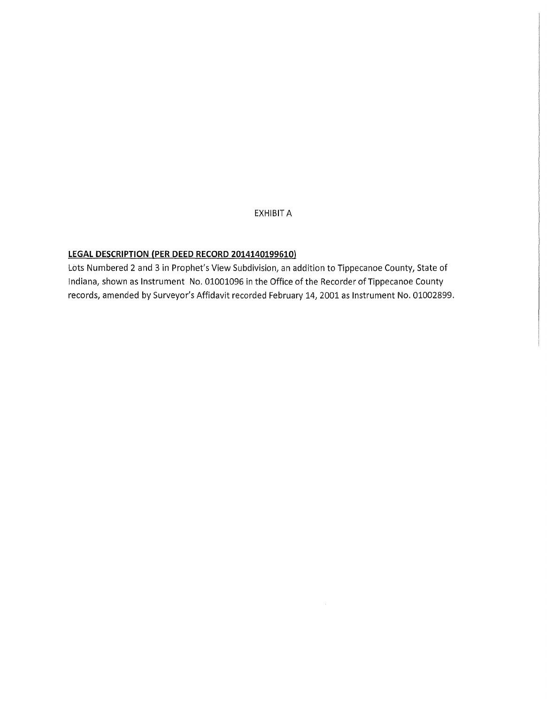EXHIBIT A

# **LEGAL DESCRIPTION (PER DEED RECORD 2014140199610)**

Lots Numbered 2 and 3 in Prophet's View Subdivision, an addition to Tippecanoe County, State of Indiana, shown as Instrument No. 01001096 in the Office of the Recorder of Tippecanoe County records, amended by Surveyor's Affidavit recorded February 14, 2001 as Instrument No. 01002899.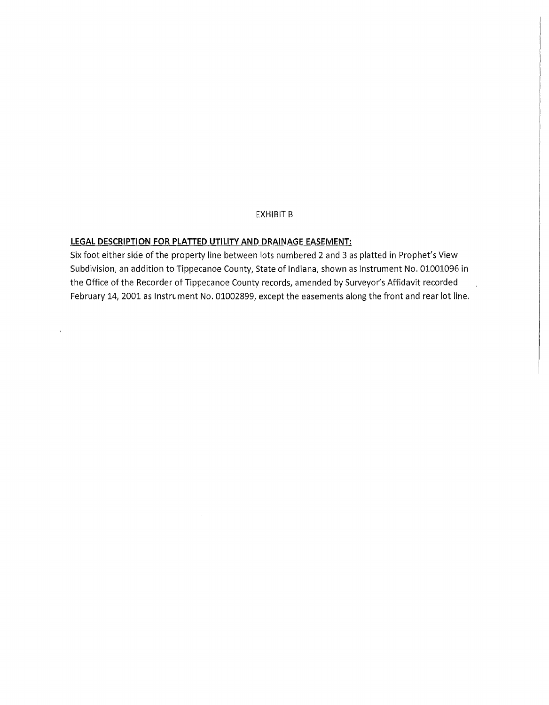#### EXHIBIT B

#### **LEGAL DESCRIPTION FOR PLATTED UTILITY AND DRAINAGE EASEMENT:**

 $\bar{\bar{\mathbf{x}}}$ 

Six foot either side of the property line between lots numbered 2 and 3 as platted in Prophet's View Subdivision, an addition to Tippecanoe County, State of Indiana, shown as Instrument No. 01001096 in the Office of the Recorder of Tippecanoe County records, amended by Surveyor's Affidavit recorded February 14, 2001 as Instrument No. 01002899, except the easements along the front and rear lot line.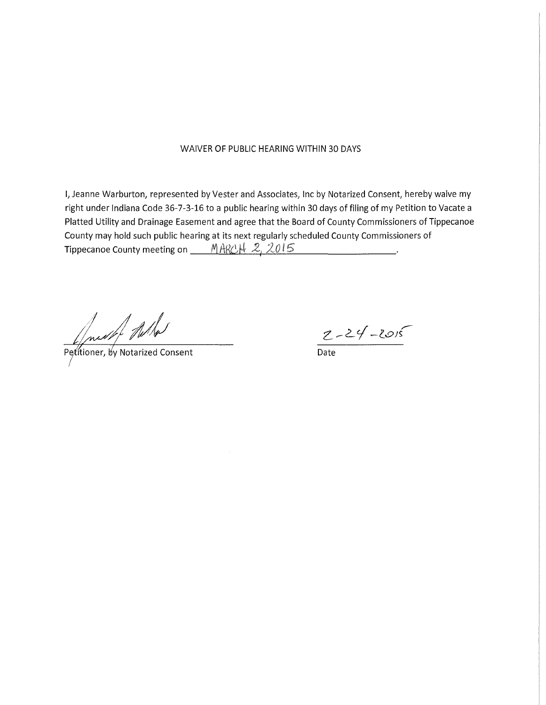#### WAIVER OF PUBLIC HEARING WITHIN 30 DAYS

I, Jeanne Warburton, represented by Vester and Associates, Inc by Notarized Consent, hereby waive my right under Indiana Code 36-7-3-16 to a public hearing within 30 days of filing of my Petition to Vacate a Platted Utility and Drainage Easement and agree that the Board of County Commissioners of Tippecanoe County may hold such public hearing at its next regularly scheduled County Commissioners of Tippecanoe County meeting on MARCH 2, 2015

Just What

Petitioner, by Notarized Consent

 $2 - 24 - 2015$ 

Date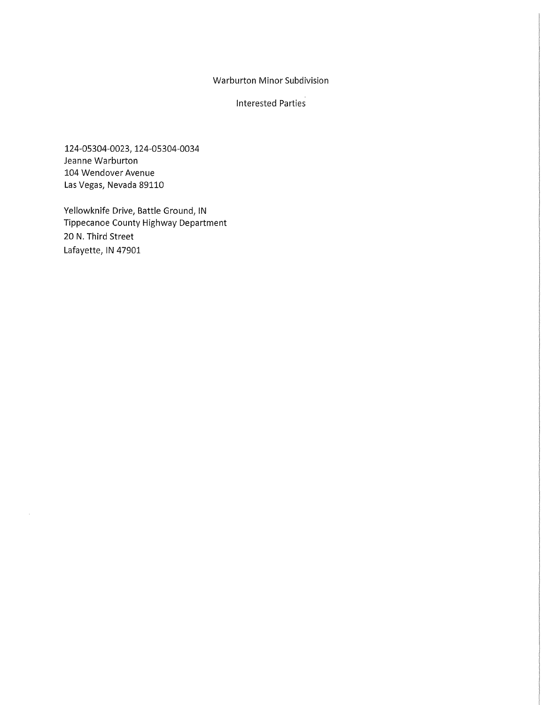### Warburton Minor Subdivision

Interested Parties

124-05304-0023, 124-05304-0034 Jeanne Warburton 104 Wendover Avenue Las Vegas, Nevada 89110

Yellowknife Drive, Battle Ground, IN Tippecanoe County Highway Department 20 N. Third Street Lafayette, IN 47901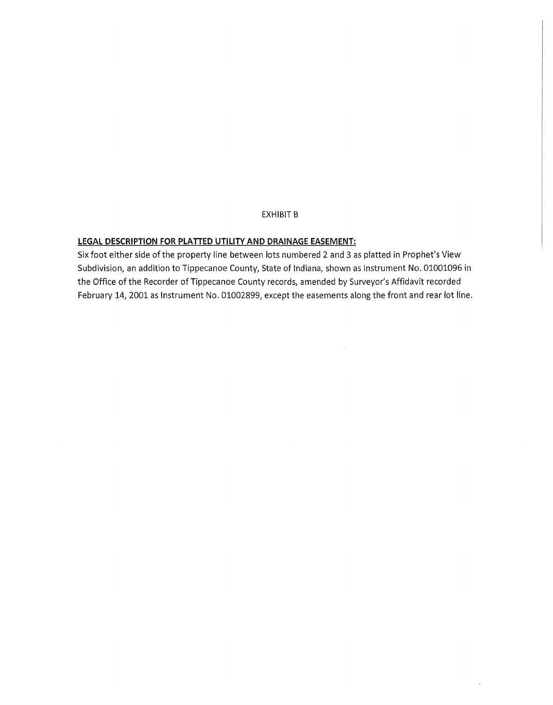#### EXHIBIT B

#### **LEGAL DESCRIPTION FOR PLATTED UTILITY AND DRAINAGE EASEMENT:**

Six foot either side of the property line between lots numbered 2 and 3 as platted in Prophet's View Subdivision, an addition to Tippecanoe County, State of Indiana, shown as Instrument No. 01001096 in the Office of the Recorder of Tippecanoe County records, amended by Surveyor's Affidavit recorded February 14, 2001 as Instrument No. 01002899, except the easements along the front and rear lot line.

 $\ddot{\phantom{a}}$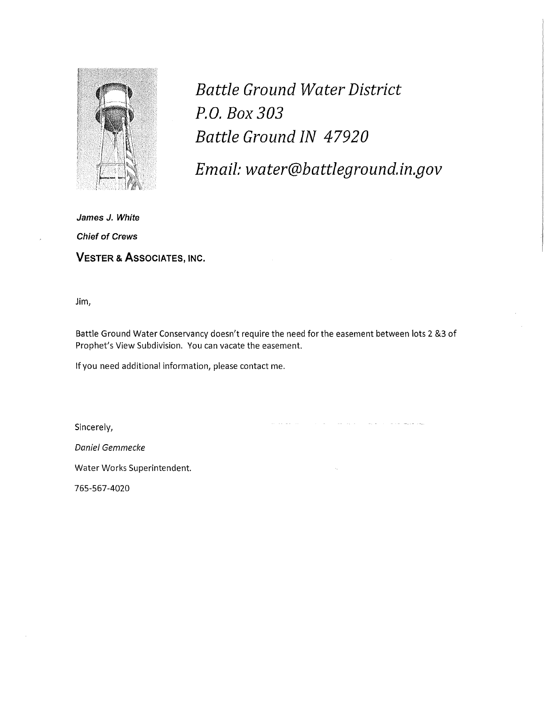

*Battle Ground Water District P.O. Box 303 Battle Ground IN 47920* 

*Email: water@battleground.in.gov* 

in all an international

**James J. White Chief of Crews VESTER & ASSOCIATES, INC.** 

Jim,

Battle Ground Water Conservancy doesn't require the need for the easement between lots 2 &3 of Prophet's View Subdivision. You can vacate the easement.

If you need additional information, please contact me.

Sincerely,

Daniel Gemmecke

Water Works Superintendent.

765-567-4020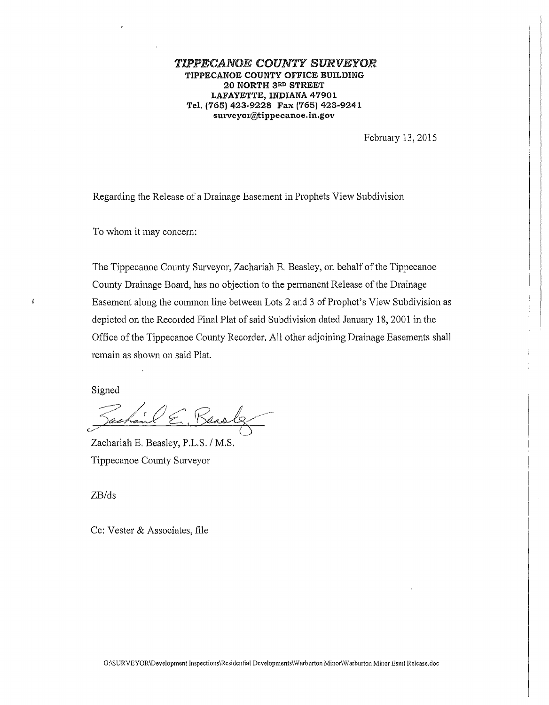#### *TIPPECANOE COUNTY SURVEYOR*  TIPPECANOE COUNTY OFFICE BUILDING 20 NORTH 3RD STREET LAFAYETTE, INDIANA 47901 Tel. (765) 423-9228 Fax (765) 423-9241 surveyor@tippecanoe.in.gov

February 13, 2015

Regarding the Release of a Drainage Easement in Prophets View Subdivision

To whom it may concern:

The Tippecanoe County Surveyor, Zachariah E. Beasley, on behalf of the Tippecanoe County Drainage Board, has no objection to the permanent Release of the Drainage Easement along the common line between Lots 2 and 3 of Prophet's View Subdivision as depicted on the Recorded Final Plat of said Subdivision dated January 18, 2001 in the Office of the Tippecanoe County Recorder. All other adjoining Drainage Easements shall remain as shown on said Plat.

Signed

 $\mathbf{f}$ 

 $2/1001$ ashand  $\epsilon$ , Bensley

Zachariah E. Beasley, P.L.S. / M.S. Tippecanoe County Surveyor

ZB/ds

Cc: Vester & Associates, file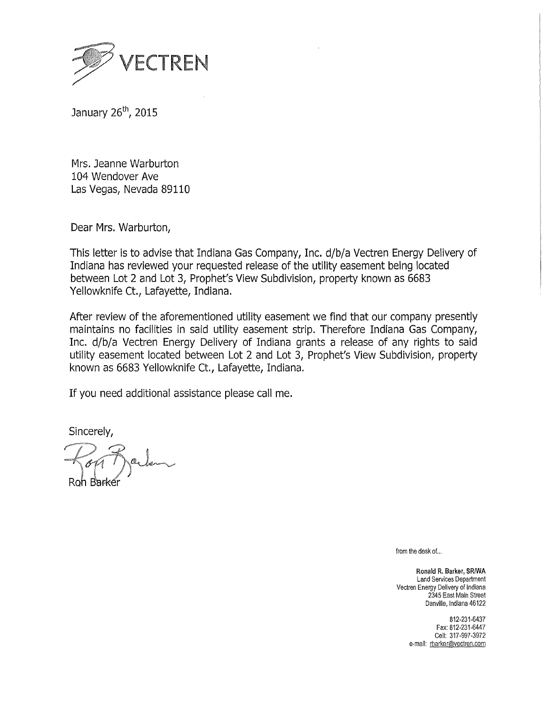

January 26<sup>th</sup>, 2015

Mrs. Jeanne Warburton 104 Wendover Ave Las Vegas, Nevada 89110

Dear Mrs. Warburton,

This letter is to advise that Indiana Gas Company, Inc. d/b/a Vectren Energy Delivery of Indiana has reviewed your requested release of the utility easement being located between Lot 2 and Lot 3, Prophet's View Subdivision, property known as 6683 Yellowknife Ct., Lafayette, Indiana.

After review of the aforementioned utility easement we find that our company presently maintains no facilities in said utility easement strip. Therefore Indiana Gas Company, Inc. d/b/a Vectren Energy Delivery of Indiana grants a release of any rights to said utility easement located between Lot 2 and Lot 3, Prophet's View Subdivision, property known as 6683 Yellowknife Ct., Lafayette, Indiana.

If you need additional assistance please call me.

Sincerely,

Roh Barkéi

from the desk of...

Ronald R. Barker, SRJWA Land Services Department Vectren Energy Delivery of Indiana 2345 East Main Street Danville, Indiana 46122

> 812-231-6437 Fax: 812-231-6447 Cell: 317-997-3972 e-mail: rbarker@vectren.com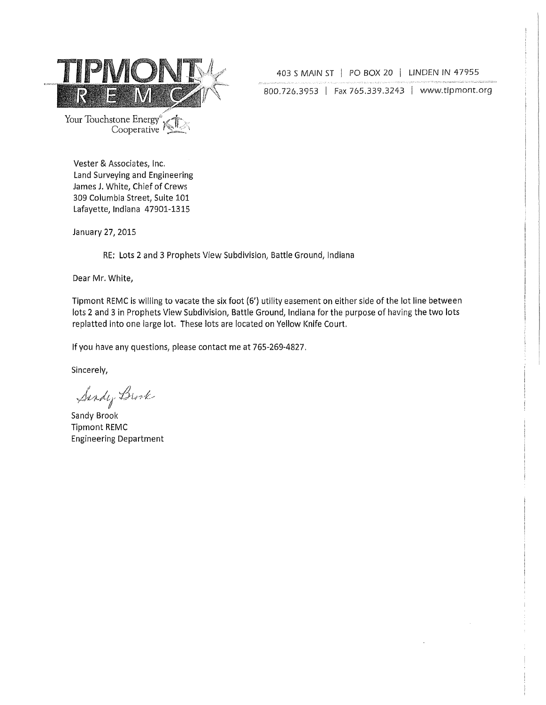

403 S MAIN ST | PO BOX 20 | LINDEN IN 47955

800.726.3953 | Fax 765.339.3243 | www.tipmont.org

Cooperative  $\sim$  1912.

Vester & Associates, Inc. Land Surveying and Engineering James J, White, Chief of Crews 309 Columbia Street, Suite 101 Lafayette, Indiana 47901-1315

January 27, 2015

RE: Lots 2 and 3 Prophets View Subdivision, Battle Ground, Indiana

Dear Mr. White,

Tipmont REMC is willing to vacate the six foot (6') utility easement on either side of the lot line between  $\,$ lots 2 and 3 in Prophets View Subdivision, Battle Ground, Indiana for the purpose of having the two lots replatted into one large lot. These lots are located on Yellow Knife Court.

If you have any questions, please contact me at 765-269-4827,

Sincerely,

Sirdy Birk

Sandy Brook Tipmont REMC Engineering Department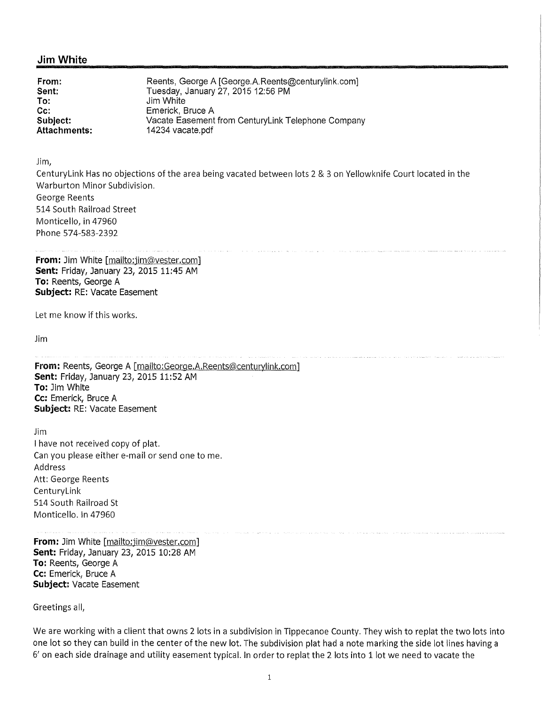#### **Jim White**

**From: Sent:**  Reents, George A [George.A.Reents@centurylink.com] Tuesday, January 27, 2015 12:56 PM **To:** Jim White Emerick, Bruce A **Subject: Attachments:**  Vacate Easement from Centurylink Telephone Company 14234 vacate.pdf

Jim,

Centurylink Has no objections of the area being vacated between lots 2 & 3 on Yellowknife Court located in the Warburton Minor Subdivision. George Reents 514 South Railroad Street Monticello, in 47960 Phone 574-583-2392

**From:** Jim White [mailto:jim@vester.com] **Sent:** Friday, January 23, 2015 11:45 AM **To:** Reents, George A **Subject:** RE: Vacate Easement

Let me know if this works.

Jim

**From: Reents, George A [mailto:George.A.Reents@centurylink.com] Sent:** Friday, January 23, 2015 11:52 AM **To:** Jim White **Cc:** Emerick, Bruce A **Subject:** RE: Vacate Easement

Jim I have not received copy of plat. Can you please either e-mail or send one to me. Address Att: George Reents CenturyLink 514 South Railroad St Monticello. In 47960

**From:** Jim White [mailto:jim@vester.com] **Sent:** Friday, January 23, 2015 10:28 AM **To:** Reents, George A **Cc:** Emerick, Bruce A **Subject:** Vacate Easement

Greetings all,

We are working with a client that owns 2 lots in a subdivision in Tippecanoe County. They wish to replat the two lots into one lot so they can build in the center of the new lot. The subdivision plat had a note marking the side lot lines having a 6' on each side drainage and utility easement typical. In order to replat the 2 lots into 1 lot we need to vacate the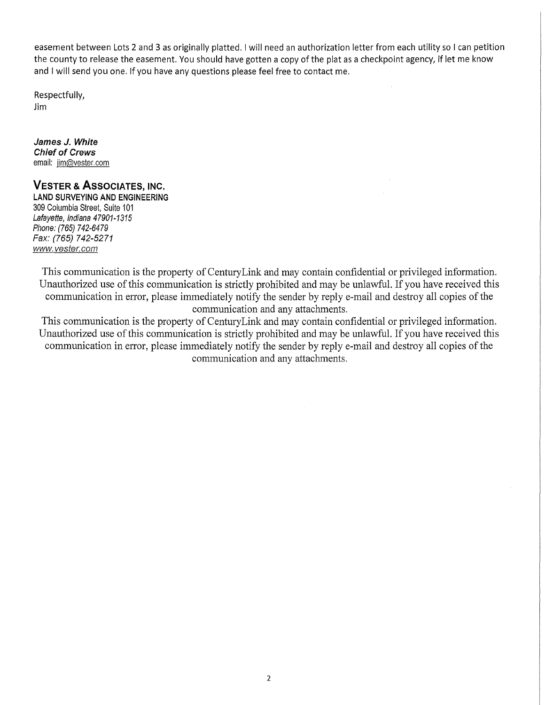easement between Lots 2 and 3 as originally platted. I will need an authorization letter from each utility so I can petition the county to release the easement. You should have gotten a copy of the plat as a checkpoint agency, if let me know and I will send you one. If you have any questions please feel free to contact me.

 $\hat{\boldsymbol{\theta}}$ 

Respectfully, Jim

**James J. White Chief of Crews**  email: jim@vester.com

# **VESTER & ASSOCIATES, INC.**

**LAND SURVEYING AND ENGINEERING**  309 Columbia Street, Suite 101 Lafayette, Indiana 47901-1315 Phone: (765) 742-6479 Fax: (765) 742-5271 www.vester.com

This communication is the property of Century Link and may contain confidential or privileged information. Unauthorized use of this communication is strictly prohibited and may be unlawful. If you have received this communication in error, please immediately notify the sender by reply e-mail and destroy all copies of the communication and any attachments.

This communication is the property of Century Link and may contain confidential or privileged information. Unauthorized use of this communication is strictly prohibited and may be unlawful. If you have received this communication in error, please immediately notify the sender by reply e-mail and destroy all copies of the communication and any attachments.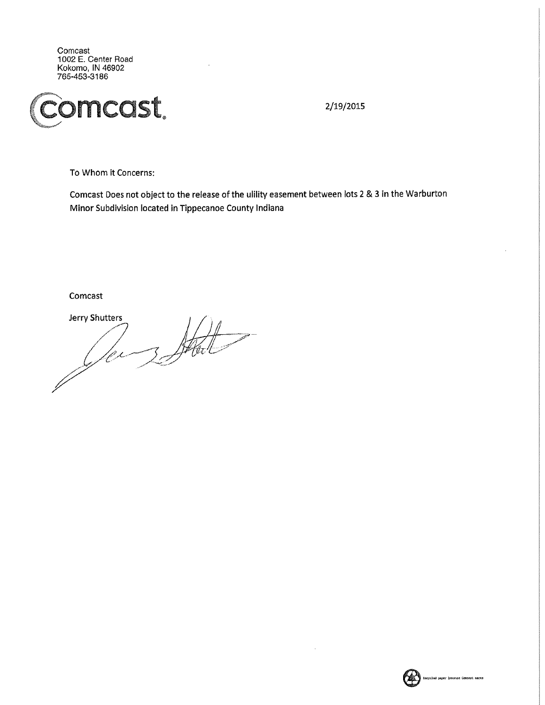Comcast 1002 E. Center Road Kokomo, IN 46902 765-453-3186



2/19/2015

To Whom it Concerns:

Comcast Does not object to the release of the ulility easement between lots 2 & 3 in the Warburton Minor Subdivision located in Tippecanoe County Indiana

Comcast

**Jerry Shutters** 3 States lex